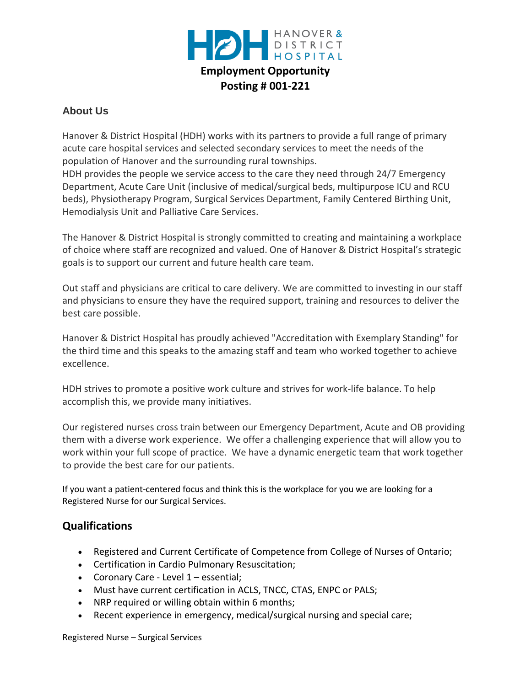

## **About Us**

Hanover & District Hospital (HDH) works with its partners to provide a full range of primary acute care hospital services and selected secondary services to meet the needs of the population of Hanover and the surrounding rural townships.

HDH provides the people we service access to the care they need through 24/7 Emergency Department, Acute Care Unit (inclusive of medical/surgical beds, multipurpose ICU and RCU beds), Physiotherapy Program, Surgical Services Department, Family Centered Birthing Unit, Hemodialysis Unit and Palliative Care Services.

The Hanover & District Hospital is strongly committed to creating and maintaining a workplace of choice where staff are recognized and valued. One of Hanover & District Hospital's strategic goals is to support our current and future health care team.

Out staff and physicians are critical to care delivery. We are committed to investing in our staff and physicians to ensure they have the required support, training and resources to deliver the best care possible.

Hanover & District Hospital has proudly achieved "Accreditation with Exemplary Standing" for the third time and this speaks to the amazing staff and team who worked together to achieve excellence.

HDH strives to promote a positive work culture and strives for work-life balance. To help accomplish this, we provide many initiatives.

Our registered nurses cross train between our Emergency Department, Acute and OB providing them with a diverse work experience. We offer a challenging experience that will allow you to work within your full scope of practice. We have a dynamic energetic team that work together to provide the best care for our patients.

If you want a patient-centered focus and think this is the workplace for you we are looking for a Registered Nurse for our Surgical Services.

## **Qualifications**

- Registered and Current Certificate of Competence from College of Nurses of Ontario;
- Certification in Cardio Pulmonary Resuscitation;
- Coronary Care Level 1 essential;
- Must have current certification in ACLS, TNCC, CTAS, ENPC or PALS;
- NRP required or willing obtain within 6 months;
- Recent experience in emergency, medical/surgical nursing and special care;